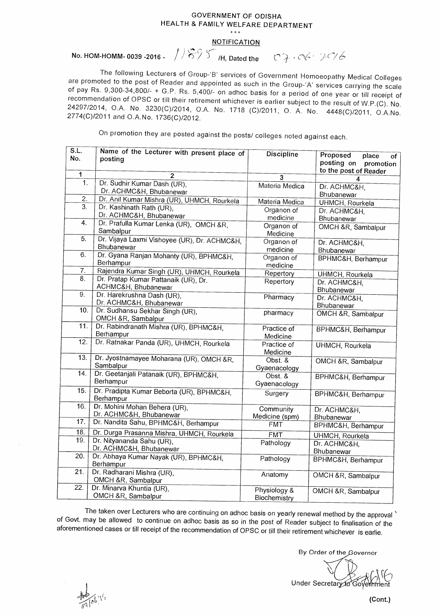## **GOVERNMENT OF ODISHA HEALTH & FAMILY WELFARE DEPARTMENT**   $***$

## **NOTIFICATION**

**No. HOM-HOMM- 0039 -2016 -** / i 1895 H, Dated the  $07.06.206$ 

The following Lecturers of Group-'B' services of Government Homoeopathy Medical Colleges are promoted to the post of Reader and appointed as such in the Group-'A' services carrying the scale of pay Rs. 9,300-34,800/- + G.P. Rs. 5,400/- on adhoc basis for a period of one year or till receipt of recommendation of OPSC or till their retirement whichever is earlier subject to the result of W.P.(C). No. 24297/2014, O.A. No. 3230(C)/2014, O.A. No. 1718 (C)/2011, 0. A. No. 4448(C)/2011, 0.A.No. 2774(0)/2011 and 0.A.No. 1736(0)/2012.

On promotion they are posted against the posts/ colleges noted against each.

| S.L.              | Name of the Lecturer with present place of             | <b>Discipline</b> | Proposed                                                        |
|-------------------|--------------------------------------------------------|-------------------|-----------------------------------------------------------------|
| No.               | postina                                                |                   | place<br>of<br>posting on<br>promotion<br>to the post of Reader |
| 1                 | $\overline{2}$                                         | 3                 | 4                                                               |
| 1.                | Dr. Sudhir Kumar Dash (UR),                            | Materia Medica    | Dr. ACHMC&H.                                                    |
|                   | Dr. ACHMC&H, Bhubanewar                                |                   | Bhubanewar                                                      |
| 2.                | Dr. Anil Kumar Mishra (UR), UHMCH, Rourkela            | Materia Medica    | UHMCH, Rourkela                                                 |
| $\overline{3}$ .  | Dr. Kashinath Rath (UR),                               | Organon of        | Dr. ACHMC&H,                                                    |
|                   | Dr. ACHMC&H, Bhubanewar                                | medicine          | Bhubanewar                                                      |
| 4.                | Dr. Prafulla Kumar Lenka (UR), OMCH &R,                | Organon of        | OMCH &R, Sambalpur                                              |
|                   | Sambalpur                                              | Medicine          |                                                                 |
| 5.                | Dr. Vijaya Laxmi Vishoyee (UR), Dr. ACHMC&H,           | Organon of        | Dr. ACHMC&H,                                                    |
|                   | Bhubanewar                                             | medicine          | Bhubanewar                                                      |
| 6.                | Dr. Gyana Ranjan Mohanty (UR), BPHMC&H,                | Organon of        | BPHMC&H, Berhampur                                              |
|                   | Berhampur                                              | medicine          |                                                                 |
| 7.                | Rajendra Kumar Singh (UR), UHMCH, Rourkela             | Repertory         | UHMCH, Rourkela                                                 |
| 8.                | Dr. Pratap Kumar Pattanaik (UR), Dr.                   | Repertory         | Dr. ACHMC&H,                                                    |
|                   | ACHMC&H, Bhubanewar                                    |                   | Bhubanewar                                                      |
| $\overline{9}$ .  | Dr. Harekrushna Dash (UR),                             | Pharmacy          | Dr. ACHMC&H,                                                    |
|                   | Dr. ACHMC&H, Bhubanewar                                |                   | Bhubanewar                                                      |
| 10.               | Dr. Sudhansu Sekhar Singh (UR),                        | pharmacy          | OMCH &R, Sambalpur                                              |
|                   | OMCH &R, Sambalpur                                     |                   |                                                                 |
| 11.               | Dr. Rabindranath Mishra (UR), BPHMC&H.                 | Practice of       | BPHMC&H, Berhampur                                              |
|                   | Berhampur                                              | Medicine          |                                                                 |
| 12.<br>13.        | Dr. Ratnakar Panda (UR), UHMCH, Rourkela               | Practice of       | UHMCH, Rourkela                                                 |
|                   |                                                        | Medicine          |                                                                 |
| $\overline{14}$ . | Dr. Jyostnamayee Moharana (UR), OMCH &R,<br>Sambalpur  | Obst. &           | OMCH &R, Sambalpur                                              |
|                   | Dr. Geetanjali Patanaik (UR), BPHMC&H,                 | Gyaenacology      |                                                                 |
|                   | Berhampur                                              | Obst. &           | BPHMC&H, Berhampur                                              |
|                   |                                                        | Gyaenacology      |                                                                 |
| 15.               | Dr. Pradipta Kumar Beborta (UR), BPHMC&H,<br>Berhampur | Surgery           | BPHMC&H, Berhampur                                              |
| 16.               | Dr. Mohini Mohan Behera (UR),                          | Community         | Dr. ACHMC&H,                                                    |
|                   | Dr. ACHMC&H, Bhubanewar                                | Medicine (spm)    | Bhubanewar                                                      |
| 17.               | Dr. Nandita Sahu, BPHMC&H, Berhampur                   | <b>FMT</b>        | BPHMC&H, Berhampur                                              |
| 18.               | Dr. Durga Prasanna Mishra, UHMCH, Rourkela             | <b>FMT</b>        | UHMCH, Rourkela                                                 |
| 19.               | Dr. Nityananda Sahu (UR),                              | Pathology         | Dr. ACHMC&H,                                                    |
|                   | Dr. ACHMC&H, Bhubanewar                                |                   | Bhubanewar                                                      |
| 20.               | Dr. Abhaya Kumar Nayak (UR), BPHMC&H,                  | Pathology         | BPHMC&H, Berhampur                                              |
|                   | Berhampur                                              |                   |                                                                 |
| 21.               | Dr. Radharani Mishra (UR),                             | Anatomy           | OMCH &R, Sambalpur                                              |
|                   | OMCH &R, Sambalpur                                     |                   |                                                                 |
| 22.               | Dr. Minarva Khuntia (UR),                              | Physiology &      | OMCH &R, Sambalpur                                              |
|                   | OMCH &R, Sambalpur                                     | Biochemistry      |                                                                 |

**The** taken over Lecturers who are continuing on adhoc basis on yearly renewal method by the approval of Govt. may be allowed to continue on adhoc basis as so in the post of Reader subject to finalisation of the aforementioned cases or till receipt of the recommendation of OPSC or till their retirement whichever is earlie.

By Order of the Governor

Under Secretary to Government

**(Cont.)**